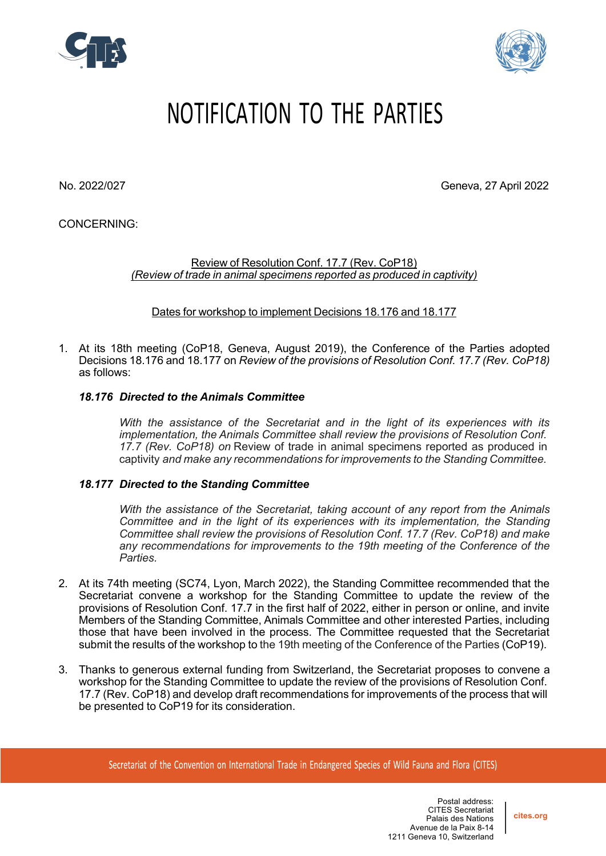



## NOTIFICATION TO THE PARTIES

No. 2022/027 Geneva, 27 April 2022

CONCERNING:

Review of Resolution Conf. 17.7 (Rev. CoP18) *(Review of trade in animal specimens reported as produced in captivity)*

Dates for workshop to implement Decisions 18.176 and 18.177

1. At its 18th meeting (CoP18, Geneva, August 2019), the Conference of the Parties adopted Decisions 18.176 and 18.177 on *Review of the provisions of Resolution Conf. 17.7 (Rev. CoP18)* as follows:

## *18.176 Directed to the Animals Committee*

*With the assistance of the Secretariat and in the light of its experiences with its implementation, the Animals Committee shall review the provisions of Resolution Conf. 17.7 (Rev. CoP18) on* Review of trade in animal specimens reported as produced in captivity *and make any recommendations for improvements to the Standing Committee.*

## *18.177 Directed to the Standing Committee*

*With the assistance of the Secretariat, taking account of any report from the Animals Committee and in the light of its experiences with its implementation, the Standing Committee shall review the provisions of Resolution Conf. 17.7 (Rev. CoP18) and make any recommendations for improvements to the 19th meeting of the Conference of the Parties.*

- 2. At its 74th meeting (SC74, Lyon, March 2022), the Standing Committee recommended that the Secretariat convene a workshop for the Standing Committee to update the review of the provisions of Resolution Conf. 17.7 in the first half of 2022, either in person or online, and invite Members of the Standing Committee, Animals Committee and other interested Parties, including those that have been involved in the process. The Committee requested that the Secretariat submit the results of the workshop to the 19th meeting of the Conference of the Parties (CoP19).
- 3. Thanks to generous external funding from Switzerland, the Secretariat proposes to convene a workshop for the Standing Committee to update the review of the provisions of Resolution Conf. 17.7 (Rev. CoP18) and develop draft recommendations for improvements of the process that will be presented to CoP19 for its consideration.

Secretariat of the Convention on International Trade in Endangered Species of Wild Fauna and Flora (CITES)